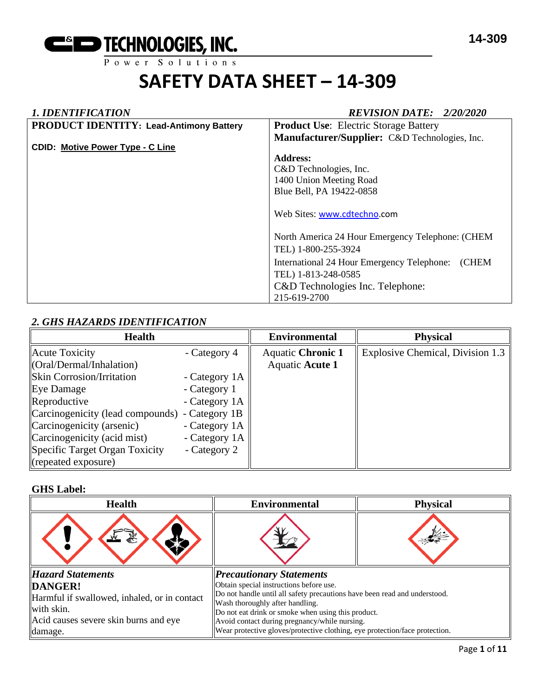

#### *1. IDENTIFICATION REVISION DATE: 2/20/2020*

| <b>PRODUCT IDENTITY: Lead-Antimony Battery</b> | <b>Product Use:</b> Electric Storage Battery        |
|------------------------------------------------|-----------------------------------------------------|
|                                                | Manufacturer/Supplier: C&D Technologies, Inc.       |
| <b>CDID: Motive Power Type - C Line</b>        |                                                     |
|                                                | Address:                                            |
|                                                |                                                     |
|                                                | C&D Technologies, Inc.                              |
|                                                | 1400 Union Meeting Road                             |
|                                                | Blue Bell, PA 19422-0858                            |
|                                                |                                                     |
|                                                | Web Sites: www.cdtechno.com                         |
|                                                |                                                     |
|                                                | North America 24 Hour Emergency Telephone: (CHEM    |
|                                                | TEL) 1-800-255-3924                                 |
|                                                | (CHEM<br>International 24 Hour Emergency Telephone: |
|                                                | TEL) 1-813-248-0585                                 |
|                                                | C&D Technologies Inc. Telephone:                    |
|                                                | 215-619-2700                                        |

#### *2. GHS HAZARDS IDENTIFICATION*

| <b>Health</b>                                  |               | <b>Environmental</b>     | <b>Physical</b>                  |
|------------------------------------------------|---------------|--------------------------|----------------------------------|
| Acute Toxicity                                 | - Category 4  | <b>Aquatic Chronic 1</b> | Explosive Chemical, Division 1.3 |
| $\langle$ Oral/Dermal/Inhalation)              |               | <b>Aquatic Acute 1</b>   |                                  |
| <b>Skin Corrosion/Irritation</b>               | - Category 1A |                          |                                  |
| Eye Damage                                     | - Category 1  |                          |                                  |
| Reproductive                                   | - Category 1A |                          |                                  |
| Carcinogenicity (lead compounds) - Category 1B |               |                          |                                  |
| Carcinogenicity (arsenic)                      | - Category 1A |                          |                                  |
| Carcinogenicity (acid mist)                    | - Category 1A |                          |                                  |
| Specific Target Organ Toxicity                 | - Category 2  |                          |                                  |
| (repeated exposure)                            |               |                          |                                  |

#### **GHS Label:**

| <b>Health</b>                                | <b>Environmental</b>                                                                                         | <b>Physical</b> |  |
|----------------------------------------------|--------------------------------------------------------------------------------------------------------------|-----------------|--|
|                                              |                                                                                                              |                 |  |
| Hazard Statements                            | <b>Precautionary Statements</b>                                                                              |                 |  |
| DANGER!                                      | Obtain special instructions before use.                                                                      |                 |  |
| Harmful if swallowed, inhaled, or in contact | Do not handle until all safety precautions have been read and understood.<br>Wash thoroughly after handling. |                 |  |
| with skin.                                   | Do not eat drink or smoke when using this product.                                                           |                 |  |
| Acid causes severe skin burns and eye        | Avoid contact during pregnancy/while nursing.                                                                |                 |  |
| damage.                                      | Wear protective gloves/protective clothing, eye protection/face protection.                                  |                 |  |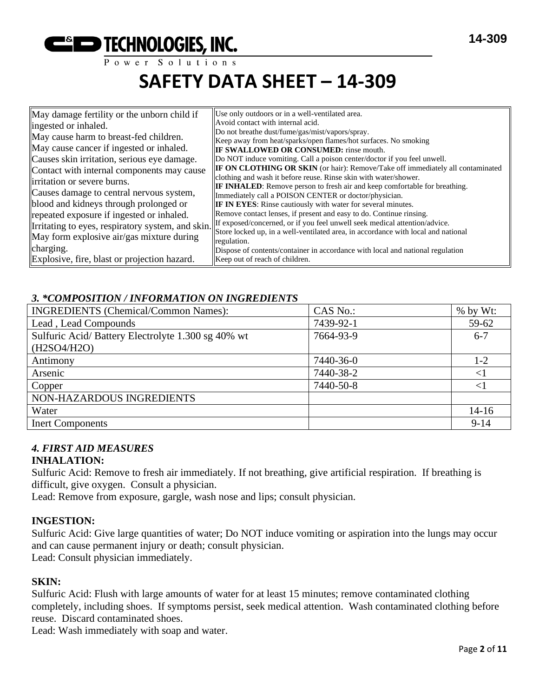

# **SAFETY DATA SHEET – 14-309**

| May damage fertility or the unborn child if  | Use only outdoors or in a well-ventilated area.<br>Avoid contact with internal acid.                                         |
|----------------------------------------------|------------------------------------------------------------------------------------------------------------------------------|
| ingested or inhaled.                         | Do not breathe dust/fume/gas/mist/vapors/spray.                                                                              |
| May cause harm to breast-fed children.       | Keep away from heat/sparks/open flames/hot surfaces. No smoking                                                              |
| May cause cancer if ingested or inhaled.     | <b>IF SWALLOWED OR CONSUMED:</b> rinse mouth.                                                                                |
| Causes skin irritation, serious eye damage.  | Do NOT induce vomiting. Call a poison center/doctor if you feel unwell.                                                      |
| Contact with internal components may cause   | IF ON CLOTHING OR SKIN (or hair): Remove/Take off immediately all contaminated                                               |
| irritation or severe burns.                  | clothing and wash it before reuse. Rinse skin with water/shower.                                                             |
|                                              | <b>IF INHALED:</b> Remove person to fresh air and keep comfortable for breathing.                                            |
| Causes damage to central nervous system,     | Immediately call a POISON CENTER or doctor/physician.                                                                        |
| blood and kidneys through prolonged or       | <b>IF IN EYES:</b> Rinse cautiously with water for several minutes.                                                          |
| repeated exposure if ingested or inhaled.    | Remove contact lenses, if present and easy to do. Continue rinsing.                                                          |
|                                              | Irritating to eyes, respiratory system, and skin. If exposed/concerned, or if you feel unwell seek medical attention/advice. |
| May form explosive air/gas mixture during    | Store locked up, in a well-ventilated area, in accordance with local and national                                            |
| charging.                                    | regulation.                                                                                                                  |
|                                              | Dispose of contents/container in accordance with local and national regulation                                               |
| Explosive, fire, blast or projection hazard. | Keep out of reach of children.                                                                                               |

#### *3. \*COMPOSITION / INFORMATION ON INGREDIENTS*

| <b>INGREDIENTS</b> (Chemical/Common Names):       | CAS No.:  | $%$ by Wt: |
|---------------------------------------------------|-----------|------------|
| Lead, Lead Compounds                              | 7439-92-1 | 59-62      |
| Sulfuric Acid/Battery Electrolyte 1.300 sg 40% wt | 7664-93-9 | $6 - 7$    |
| (H2SO4/H2O)                                       |           |            |
| Antimony                                          | 7440-36-0 | $1-2$      |
| Arsenic                                           | 7440-38-2 | $<$ l      |
| Copper                                            | 7440-50-8 | ${<}1$     |
| NON-HAZARDOUS INGREDIENTS                         |           |            |
| Water                                             |           | $14 - 16$  |
| <b>Inert Components</b>                           |           | $9-14$     |

#### *4. FIRST AID MEASURES* **INHALATION:**

Sulfuric Acid: Remove to fresh air immediately. If not breathing, give artificial respiration. If breathing is difficult, give oxygen. Consult a physician.

Lead: Remove from exposure, gargle, wash nose and lips; consult physician.

#### **INGESTION:**

Sulfuric Acid: Give large quantities of water; Do NOT induce vomiting or aspiration into the lungs may occur and can cause permanent injury or death; consult physician. Lead: Consult physician immediately.

#### **SKIN:**

Sulfuric Acid: Flush with large amounts of water for at least 15 minutes; remove contaminated clothing completely, including shoes. If symptoms persist, seek medical attention. Wash contaminated clothing before reuse. Discard contaminated shoes.

Lead: Wash immediately with soap and water.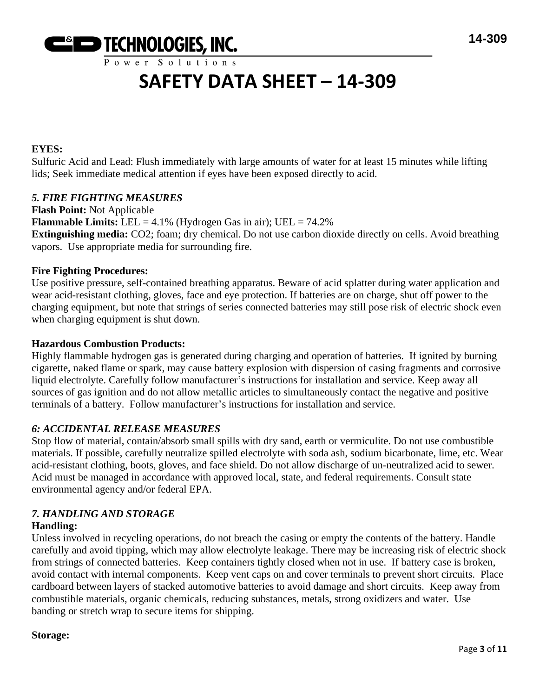

## **SAFETY DATA SHEET – 14-309**

#### **EYES:**

Sulfuric Acid and Lead: Flush immediately with large amounts of water for at least 15 minutes while lifting lids; Seek immediate medical attention if eyes have been exposed directly to acid.

#### *5. FIRE FIGHTING MEASURES*

**Flash Point:** Not Applicable **Flammable Limits:** LEL =  $4.1\%$  (Hydrogen Gas in air); UEL =  $74.2\%$ **Extinguishing media:** CO2; foam; dry chemical. Do not use carbon dioxide directly on cells. Avoid breathing vapors. Use appropriate media for surrounding fire.

#### **Fire Fighting Procedures:**

Use positive pressure, self-contained breathing apparatus. Beware of acid splatter during water application and wear acid-resistant clothing, gloves, face and eye protection. If batteries are on charge, shut off power to the charging equipment, but note that strings of series connected batteries may still pose risk of electric shock even when charging equipment is shut down.

#### **Hazardous Combustion Products:**

Highly flammable hydrogen gas is generated during charging and operation of batteries. If ignited by burning cigarette, naked flame or spark, may cause battery explosion with dispersion of casing fragments and corrosive liquid electrolyte. Carefully follow manufacturer's instructions for installation and service. Keep away all sources of gas ignition and do not allow metallic articles to simultaneously contact the negative and positive terminals of a battery. Follow manufacturer's instructions for installation and service.

#### *6: ACCIDENTAL RELEASE MEASURES*

Stop flow of material, contain/absorb small spills with dry sand, earth or vermiculite. Do not use combustible materials. If possible, carefully neutralize spilled electrolyte with soda ash, sodium bicarbonate, lime, etc. Wear acid-resistant clothing, boots, gloves, and face shield. Do not allow discharge of un-neutralized acid to sewer. Acid must be managed in accordance with approved local, state, and federal requirements. Consult state environmental agency and/or federal EPA.

#### *7. HANDLING AND STORAGE*

#### **Handling:**

Unless involved in recycling operations, do not breach the casing or empty the contents of the battery. Handle carefully and avoid tipping, which may allow electrolyte leakage. There may be increasing risk of electric shock from strings of connected batteries. Keep containers tightly closed when not in use. If battery case is broken, avoid contact with internal components. Keep vent caps on and cover terminals to prevent short circuits. Place cardboard between layers of stacked automotive batteries to avoid damage and short circuits. Keep away from combustible materials, organic chemicals, reducing substances, metals, strong oxidizers and water. Use banding or stretch wrap to secure items for shipping.

#### **Storage:**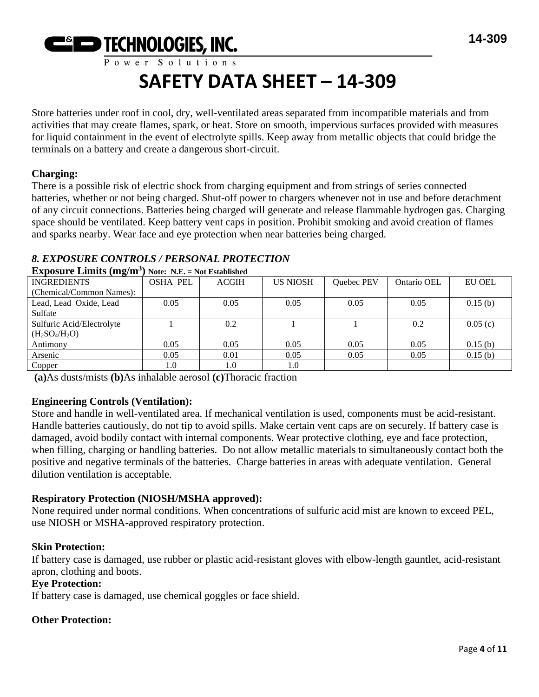

Store batteries under roof in cool, dry, well-ventilated areas separated from incompatible materials and from activities that may create flames, spark, or heat. Store on smooth, impervious surfaces provided with measures for liquid containment in the event of electrolyte spills. Keep away from metallic objects that could bridge the terminals on a battery and create a dangerous short-circuit.

#### **Charging:**

There is a possible risk of electric shock from charging equipment and from strings of series connected batteries, whether or not being charged. Shut-off power to chargers whenever not in use and before detachment of any circuit connections. Batteries being charged will generate and release flammable hydrogen gas. Charging space should be ventilated. Keep battery vent caps in position. Prohibit smoking and avoid creation of flames and sparks nearby. Wear face and eye protection when near batteries being charged.

### *8. EXPOSURE CONTROLS / PERSONAL PROTECTION*

| <b>EXPOSULE LITTLES (IIIE/III) NOTE: IN.E.</b> – NOT ESTADISHED |                 |              |                 |            |             |               |
|-----------------------------------------------------------------|-----------------|--------------|-----------------|------------|-------------|---------------|
| <b>INGREDIENTS</b>                                              | <b>OSHA PEL</b> | <b>ACGIH</b> | <b>US NIOSH</b> | Quebec PEV | Ontario OEL | <b>EU OEL</b> |
| (Chemical/Common Names):                                        |                 |              |                 |            |             |               |
| Lead, Lead Oxide, Lead                                          | 0.05            | 0.05         | 0.05            | 0.05       | 0.05        | 0.15(b)       |
| Sulfate                                                         |                 |              |                 |            |             |               |
| Sulfuric Acid/Electrolyte                                       |                 | 0.2          |                 |            | 0.2         | 0.05(c)       |
| $(H_2SO_4/H_2O)$                                                |                 |              |                 |            |             |               |
| Antimony                                                        | 0.05            | 0.05         | 0.05            | 0.05       | 0.05        | 0.15(b)       |
| Arsenic                                                         | 0.05            | 0.01         | 0.05            | 0.05       | 0.05        | 0.15(b)       |
| Copper                                                          | $1.0\,$         | $1.0\,$      | 1.0             |            |             |               |

**Exposure Limits (mg/m<sup>3</sup> ) Note: N.E. = Not Established**

**(a)**As dusts/mists **(b)**As inhalable aerosol **(c)**Thoracic fraction

#### **Engineering Controls (Ventilation):**

Store and handle in well-ventilated area. If mechanical ventilation is used, components must be acid-resistant. Handle batteries cautiously, do not tip to avoid spills. Make certain vent caps are on securely. If battery case is damaged, avoid bodily contact with internal components. Wear protective clothing, eye and face protection, when filling, charging or handling batteries. Do not allow metallic materials to simultaneously contact both the positive and negative terminals of the batteries. Charge batteries in areas with adequate ventilation. General dilution ventilation is acceptable.

#### **Respiratory Protection (NIOSH/MSHA approved):**

None required under normal conditions. When concentrations of sulfuric acid mist are known to exceed PEL, use NIOSH or MSHA-approved respiratory protection.

#### **Skin Protection:**

If battery case is damaged, use rubber or plastic acid-resistant gloves with elbow-length gauntlet, acid-resistant apron, clothing and boots.

#### **Eye Protection:**

If battery case is damaged, use chemical goggles or face shield.

### **Other Protection:**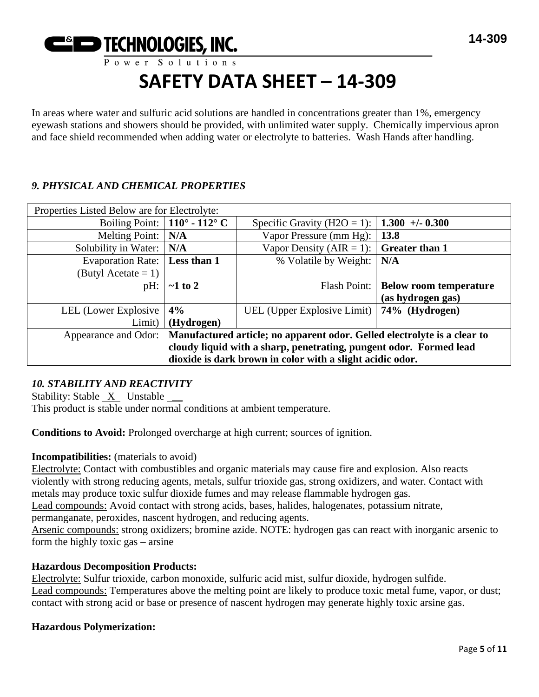

In areas where water and sulfuric acid solutions are handled in concentrations greater than 1%, emergency eyewash stations and showers should be provided, with unlimited water supply. Chemically impervious apron and face shield recommended when adding water or electrolyte to batteries. Wash Hands after handling.

#### *9. PHYSICAL AND CHEMICAL PROPERTIES*

| Properties Listed Below are for Electrolyte:                                                  |                                      |                                                |                                       |
|-----------------------------------------------------------------------------------------------|--------------------------------------|------------------------------------------------|---------------------------------------|
|                                                                                               | Boiling Point: $\vert$ 110° - 112° C | Specific Gravity (H2O = 1):                    | $1.300 + 0.300$                       |
| Melting Point:                                                                                | N/A                                  | Vapor Pressure (mm Hg):                        | 13.8                                  |
| Solubility in Water:                                                                          | N/A                                  | Vapor Density (AIR = 1): $\int$ Greater than 1 |                                       |
| Evaporation Rate:   Less than 1                                                               |                                      | % Volatile by Weight:                          | N/A                                   |
| (Butyl Acetate $= 1$ )                                                                        |                                      |                                                |                                       |
| pH:                                                                                           | $\sim$ 1 to 2                        |                                                | Flash Point:   Below room temperature |
|                                                                                               |                                      |                                                | (as hydrogen gas)                     |
| LEL (Lower Explosive                                                                          | 4%                                   | UEL (Upper Explosive Limit)   74% (Hydrogen)   |                                       |
| Limit)                                                                                        | (Hydrogen)                           |                                                |                                       |
| Appearance and Odor: Manufactured article; no apparent odor. Gelled electrolyte is a clear to |                                      |                                                |                                       |
| cloudy liquid with a sharp, penetrating, pungent odor. Formed lead                            |                                      |                                                |                                       |
| dioxide is dark brown in color with a slight acidic odor.                                     |                                      |                                                |                                       |

#### *10. STABILITY AND REACTIVITY*

Stability: Stable X Unstable \_\_

This product is stable under normal conditions at ambient temperature.

**Conditions to Avoid:** Prolonged overcharge at high current; sources of ignition.

#### **Incompatibilities:** (materials to avoid)

Electrolyte: Contact with combustibles and organic materials may cause fire and explosion. Also reacts violently with strong reducing agents, metals, sulfur trioxide gas, strong oxidizers, and water. Contact with metals may produce toxic sulfur dioxide fumes and may release flammable hydrogen gas.

Lead compounds: Avoid contact with strong acids, bases, halides, halogenates, potassium nitrate,

permanganate, peroxides, nascent hydrogen, and reducing agents.

Arsenic compounds: strong oxidizers; bromine azide. NOTE: hydrogen gas can react with inorganic arsenic to form the highly toxic gas – arsine

#### **Hazardous Decomposition Products:**

Electrolyte: Sulfur trioxide, carbon monoxide, sulfuric acid mist, sulfur dioxide, hydrogen sulfide. Lead compounds: Temperatures above the melting point are likely to produce toxic metal fume, vapor, or dust; contact with strong acid or base or presence of nascent hydrogen may generate highly toxic arsine gas.

#### **Hazardous Polymerization:**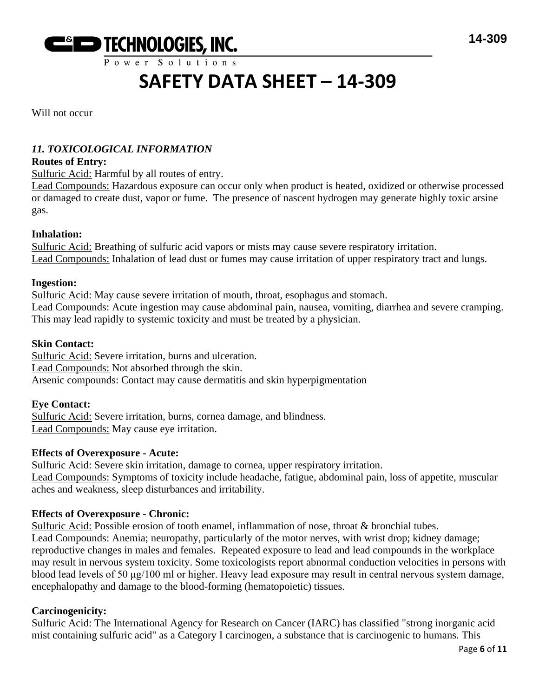

Will not occur

#### *11. TOXICOLOGICAL INFORMATION*

#### **Routes of Entry:**

Sulfuric Acid: Harmful by all routes of entry.

Lead Compounds: Hazardous exposure can occur only when product is heated, oxidized or otherwise processed or damaged to create dust, vapor or fume. The presence of nascent hydrogen may generate highly toxic arsine gas.

#### **Inhalation:**

Sulfuric Acid: Breathing of sulfuric acid vapors or mists may cause severe respiratory irritation. Lead Compounds: Inhalation of lead dust or fumes may cause irritation of upper respiratory tract and lungs.

#### **Ingestion:**

Sulfuric Acid: May cause severe irritation of mouth, throat, esophagus and stomach. Lead Compounds: Acute ingestion may cause abdominal pain, nausea, vomiting, diarrhea and severe cramping. This may lead rapidly to systemic toxicity and must be treated by a physician.

#### **Skin Contact:**

Sulfuric Acid: Severe irritation, burns and ulceration. Lead Compounds: Not absorbed through the skin. Arsenic compounds: Contact may cause dermatitis and skin hyperpigmentation

#### **Eye Contact:**

Sulfuric Acid: Severe irritation, burns, cornea damage, and blindness. Lead Compounds: May cause eye irritation.

#### **Effects of Overexposure - Acute:**

Sulfuric Acid: Severe skin irritation, damage to cornea, upper respiratory irritation. Lead Compounds: Symptoms of toxicity include headache, fatigue, abdominal pain, loss of appetite, muscular aches and weakness, sleep disturbances and irritability.

#### **Effects of Overexposure - Chronic:**

Sulfuric Acid: Possible erosion of tooth enamel, inflammation of nose, throat & bronchial tubes. Lead Compounds: Anemia; neuropathy, particularly of the motor nerves, with wrist drop; kidney damage; reproductive changes in males and females. Repeated exposure to lead and lead compounds in the workplace may result in nervous system toxicity. Some toxicologists report abnormal conduction velocities in persons with blood lead levels of 50 μg/100 ml or higher. Heavy lead exposure may result in central nervous system damage, encephalopathy and damage to the blood-forming (hematopoietic) tissues.

#### **Carcinogenicity:**

Sulfuric Acid: The International Agency for Research on Cancer (IARC) has classified "strong inorganic acid mist containing sulfuric acid" as a Category I carcinogen, a substance that is carcinogenic to humans. This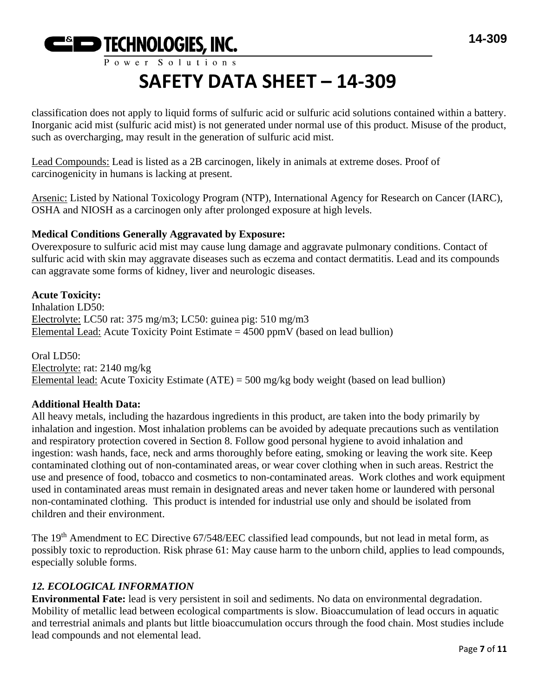

# **SAFETY DATA SHEET – 14-309**

classification does not apply to liquid forms of sulfuric acid or sulfuric acid solutions contained within a battery. Inorganic acid mist (sulfuric acid mist) is not generated under normal use of this product. Misuse of the product, such as overcharging, may result in the generation of sulfuric acid mist.

Lead Compounds: Lead is listed as a 2B carcinogen, likely in animals at extreme doses. Proof of carcinogenicity in humans is lacking at present.

Arsenic: Listed by National Toxicology Program (NTP), International Agency for Research on Cancer (IARC), OSHA and NIOSH as a carcinogen only after prolonged exposure at high levels.

#### **Medical Conditions Generally Aggravated by Exposure:**

Overexposure to sulfuric acid mist may cause lung damage and aggravate pulmonary conditions. Contact of sulfuric acid with skin may aggravate diseases such as eczema and contact dermatitis. Lead and its compounds can aggravate some forms of kidney, liver and neurologic diseases.

#### **Acute Toxicity:**

Inhalation LD50: Electrolyte: LC50 rat: 375 mg/m3; LC50: guinea pig: 510 mg/m3 Elemental Lead: Acute Toxicity Point Estimate  $= 4500$  ppmV (based on lead bullion)

Oral LD50: Electrolyte: rat: 2140 mg/kg Elemental lead: Acute Toxicity Estimate (ATE) = 500 mg/kg body weight (based on lead bullion)

#### **Additional Health Data:**

All heavy metals, including the hazardous ingredients in this product, are taken into the body primarily by inhalation and ingestion. Most inhalation problems can be avoided by adequate precautions such as ventilation and respiratory protection covered in Section 8. Follow good personal hygiene to avoid inhalation and ingestion: wash hands, face, neck and arms thoroughly before eating, smoking or leaving the work site. Keep contaminated clothing out of non-contaminated areas, or wear cover clothing when in such areas. Restrict the use and presence of food, tobacco and cosmetics to non-contaminated areas. Work clothes and work equipment used in contaminated areas must remain in designated areas and never taken home or laundered with personal non-contaminated clothing. This product is intended for industrial use only and should be isolated from children and their environment.

The 19<sup>th</sup> Amendment to EC Directive 67/548/EEC classified lead compounds, but not lead in metal form, as possibly toxic to reproduction. Risk phrase 61: May cause harm to the unborn child, applies to lead compounds, especially soluble forms.

#### *12. ECOLOGICAL INFORMATION*

**Environmental Fate:** lead is very persistent in soil and sediments. No data on environmental degradation. Mobility of metallic lead between ecological compartments is slow. Bioaccumulation of lead occurs in aquatic and terrestrial animals and plants but little bioaccumulation occurs through the food chain. Most studies include lead compounds and not elemental lead.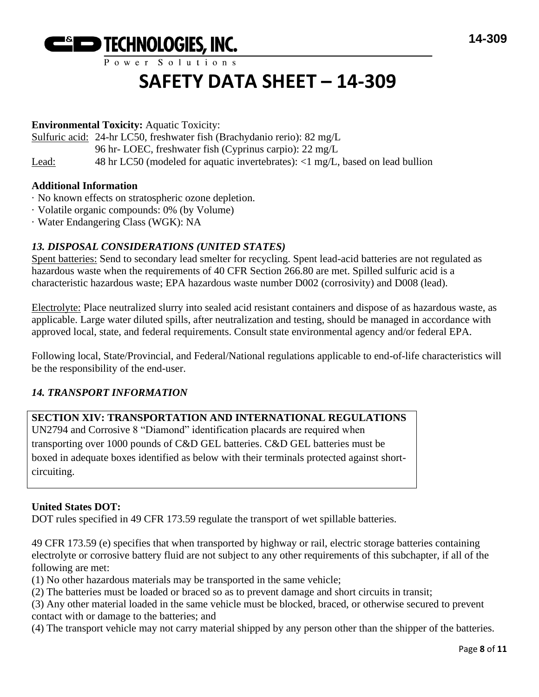

## **SAFETY DATA SHEET – 14-309**

#### **Environmental Toxicity:** Aquatic Toxicity:

Sulfuric acid: 24-hr LC50, freshwater fish (Brachydanio rerio): 82 mg/L

- 96 hr- LOEC, freshwater fish (Cyprinus carpio): 22 mg/L
- Lead: 48 hr LC50 (modeled for aquatic invertebrates): <1 mg/L, based on lead bullion

#### **Additional Information**

- · No known effects on stratospheric ozone depletion.
- · Volatile organic compounds: 0% (by Volume)
- · Water Endangering Class (WGK): NA

### *13. DISPOSAL CONSIDERATIONS (UNITED STATES)*

Spent batteries: Send to secondary lead smelter for recycling. Spent lead-acid batteries are not regulated as hazardous waste when the requirements of 40 CFR Section 266.80 are met. Spilled sulfuric acid is a characteristic hazardous waste; EPA hazardous waste number D002 (corrosivity) and D008 (lead).

Electrolyte: Place neutralized slurry into sealed acid resistant containers and dispose of as hazardous waste, as applicable. Large water diluted spills, after neutralization and testing, should be managed in accordance with approved local, state, and federal requirements. Consult state environmental agency and/or federal EPA.

Following local, State/Provincial, and Federal/National regulations applicable to end-of-life characteristics will be the responsibility of the end-user.

#### *14. TRANSPORT INFORMATION*

#### **SECTION XIV: TRANSPORTATION AND INTERNATIONAL REGULATIONS**

UN2794 and Corrosive 8 "Diamond" identification placards are required when transporting over 1000 pounds of C&D GEL batteries. C&D GEL batteries must be boxed in adequate boxes identified as below with their terminals protected against shortcircuiting.

#### **United States DOT:**

DOT rules specified in 49 CFR 173.59 regulate the transport of wet spillable batteries.

49 CFR 173.59 (e) specifies that when transported by highway or rail, electric storage batteries containing electrolyte or corrosive battery fluid are not subject to any other requirements of this subchapter, if all of the following are met:

(1) No other hazardous materials may be transported in the same vehicle;

(2) The batteries must be loaded or braced so as to prevent damage and short circuits in transit;

(3) Any other material loaded in the same vehicle must be blocked, braced, or otherwise secured to prevent contact with or damage to the batteries; and

(4) The transport vehicle may not carry material shipped by any person other than the shipper of the batteries.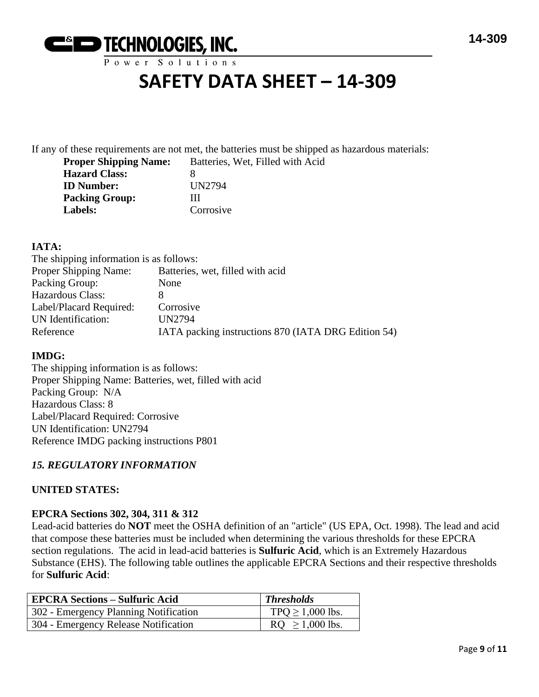

## **SAFETY DATA SHEET – 14-309**

If any of these requirements are not met, the batteries must be shipped as hazardous materials: **Filled with Acid** 

| <b>Proper Shipping Name:</b> | Batteries, Wet. |
|------------------------------|-----------------|
| <b>Hazard Class:</b>         | x               |
| <b>ID</b> Number:            | UN2794          |
| <b>Packing Group:</b>        | Ш               |
| Labels:                      | Corrosive       |

#### **IATA:**

| The shipping information is as follows:             |
|-----------------------------------------------------|
| Batteries, wet, filled with acid                    |
| None                                                |
|                                                     |
| Corrosive                                           |
| <b>UN2794</b>                                       |
| IATA packing instructions 870 (IATA DRG Edition 54) |
|                                                     |

#### **IMDG:**

The shipping information is as follows: Proper Shipping Name: Batteries, wet, filled with acid Packing Group: N/A Hazardous Class: 8 Label/Placard Required: Corrosive UN Identification: UN2794 Reference IMDG packing instructions P801

#### *15. REGULATORY INFORMATION*

#### **UNITED STATES:**

#### **EPCRA Sections 302, 304, 311 & 312**

Lead-acid batteries do **NOT** meet the OSHA definition of an "article" (US EPA, Oct. 1998). The lead and acid that compose these batteries must be included when determining the various thresholds for these EPCRA section regulations. The acid in lead-acid batteries is **Sulfuric Acid**, which is an Extremely Hazardous Substance (EHS). The following table outlines the applicable EPCRA Sections and their respective thresholds for **Sulfuric Acid**:

| <b>EPCRA Sections – Sulfuric Acid</b> | <b>Thresholds</b>     |
|---------------------------------------|-----------------------|
| 302 - Emergency Planning Notification | TPQ $\geq$ 1,000 lbs. |
| 304 - Emergency Release Notification  | $RQ \ge 1,000$ lbs.   |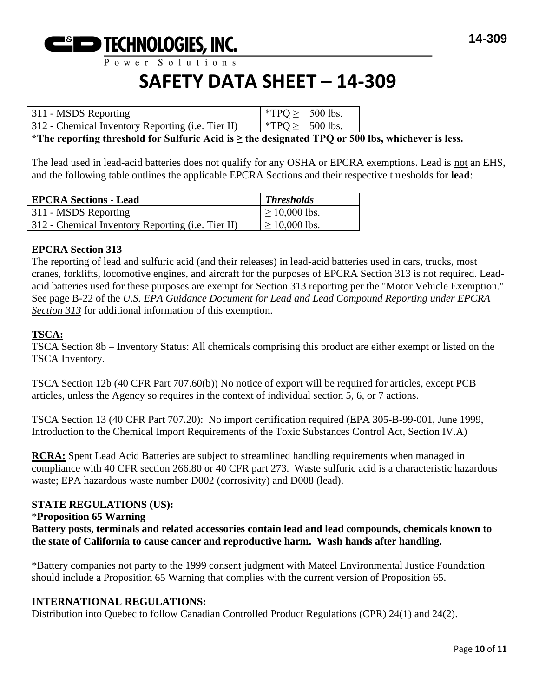

## **SAFETY DATA SHEET – 14-309**

| 311 - MSDS Reporting                              | *TPO > $500$ lbs. |  |
|---------------------------------------------------|-------------------|--|
| 312 - Chemical Inventory Reporting (i.e. Tier II) | *TPO > $500$ lbs. |  |

**\*The reporting threshold for Sulfuric Acid is ≥ the designated TPQ or 500 lbs, whichever is less.**

The lead used in lead-acid batteries does not qualify for any OSHA or EPCRA exemptions. Lead is not an EHS, and the following table outlines the applicable EPCRA Sections and their respective thresholds for **lead**:

| <b>EPCRA Sections - Lead</b>                      | <b>Thresholds</b>  |
|---------------------------------------------------|--------------------|
| 311 - MSDS Reporting                              | $\geq 10,000$ lbs. |
| 312 - Chemical Inventory Reporting (i.e. Tier II) | $\geq$ 10,000 lbs. |

#### **EPCRA Section 313**

The reporting of lead and sulfuric acid (and their releases) in lead-acid batteries used in cars, trucks, most cranes, forklifts, locomotive engines, and aircraft for the purposes of EPCRA Section 313 is not required. Leadacid batteries used for these purposes are exempt for Section 313 reporting per the "Motor Vehicle Exemption." See page B-22 of the *U.S. EPA Guidance Document for Lead and Lead Compound Reporting under EPCRA Section 313* for additional information of this exemption.

#### **TSCA:**

TSCA Section 8b – Inventory Status: All chemicals comprising this product are either exempt or listed on the TSCA Inventory.

TSCA Section 12b (40 CFR Part 707.60(b)) No notice of export will be required for articles, except PCB articles, unless the Agency so requires in the context of individual section 5, 6, or 7 actions.

TSCA Section 13 (40 CFR Part 707.20): No import certification required (EPA 305-B-99-001, June 1999, Introduction to the Chemical Import Requirements of the Toxic Substances Control Act, Section IV.A)

**RCRA:** Spent Lead Acid Batteries are subject to streamlined handling requirements when managed in compliance with 40 CFR section 266.80 or 40 CFR part 273. Waste sulfuric acid is a characteristic hazardous waste; EPA hazardous waste number D002 (corrosivity) and D008 (lead).

#### **STATE REGULATIONS (US):**

#### \***Proposition 65 Warning**

**Battery posts, terminals and related accessories contain lead and lead compounds, chemicals known to the state of California to cause cancer and reproductive harm. Wash hands after handling.**

\*Battery companies not party to the 1999 consent judgment with Mateel Environmental Justice Foundation should include a Proposition 65 Warning that complies with the current version of Proposition 65.

#### **INTERNATIONAL REGULATIONS:**

Distribution into Quebec to follow Canadian Controlled Product Regulations (CPR) 24(1) and 24(2).